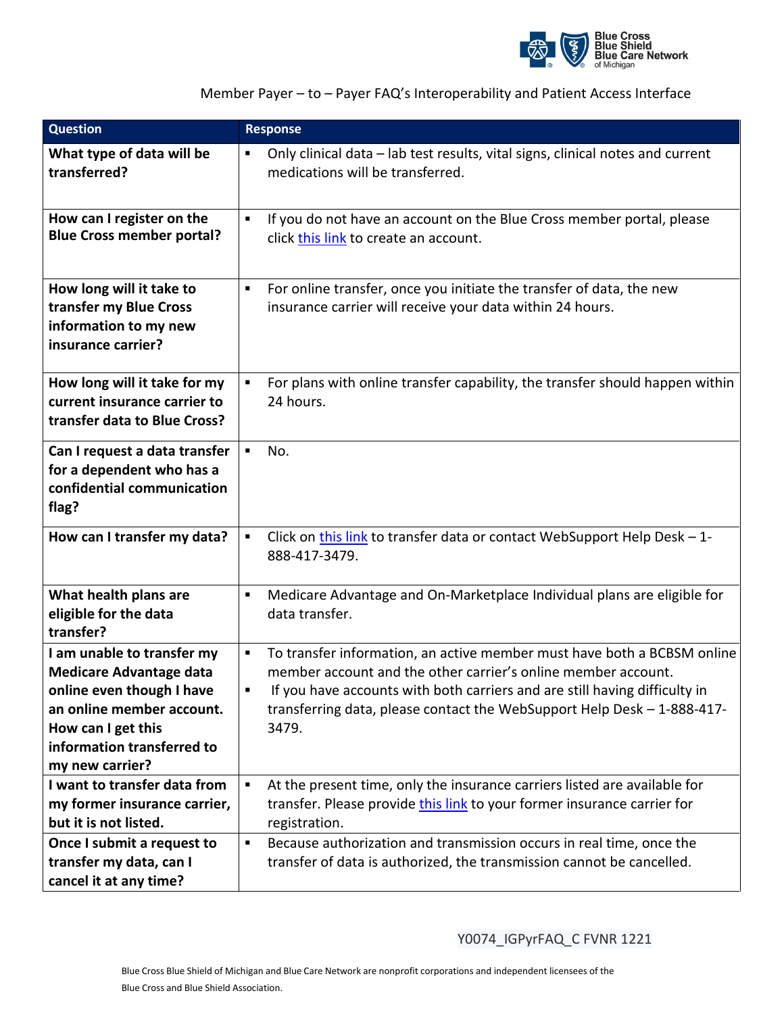

## Member Payer – to – Payer FAQ's Interoperability and Patient Access Interface

| <b>Question</b>                                                                                                                                                                               | <b>Response</b>                                                                                                                                                                                                                                                                                                              |
|-----------------------------------------------------------------------------------------------------------------------------------------------------------------------------------------------|------------------------------------------------------------------------------------------------------------------------------------------------------------------------------------------------------------------------------------------------------------------------------------------------------------------------------|
| What type of data will be<br>transferred?                                                                                                                                                     | Only clinical data - lab test results, vital signs, clinical notes and current<br>$\blacksquare$<br>medications will be transferred.                                                                                                                                                                                         |
| How can I register on the<br><b>Blue Cross member portal?</b>                                                                                                                                 | If you do not have an account on the Blue Cross member portal, please<br>$\blacksquare$<br>click this link to create an account.                                                                                                                                                                                             |
| How long will it take to<br>transfer my Blue Cross<br>information to my new<br>insurance carrier?                                                                                             | For online transfer, once you initiate the transfer of data, the new<br>٠<br>insurance carrier will receive your data within 24 hours.                                                                                                                                                                                       |
| How long will it take for my<br>current insurance carrier to<br>transfer data to Blue Cross?                                                                                                  | For plans with online transfer capability, the transfer should happen within<br>$\blacksquare$<br>24 hours.                                                                                                                                                                                                                  |
| Can I request a data transfer<br>for a dependent who has a<br>confidential communication<br>flag?                                                                                             | No.<br>$\blacksquare$                                                                                                                                                                                                                                                                                                        |
| How can I transfer my data?                                                                                                                                                                   | Click on this link to transfer data or contact WebSupport Help Desk - 1-<br>$\blacksquare$<br>888-417-3479.                                                                                                                                                                                                                  |
| What health plans are<br>eligible for the data<br>transfer?                                                                                                                                   | Medicare Advantage and On-Marketplace Individual plans are eligible for<br>٠<br>data transfer.                                                                                                                                                                                                                               |
| I am unable to transfer my<br><b>Medicare Advantage data</b><br>online even though I have<br>an online member account.<br>How can I get this<br>information transferred to<br>my new carrier? | To transfer information, an active member must have both a BCBSM online<br>$\blacksquare$<br>member account and the other carrier's online member account.<br>If you have accounts with both carriers and are still having difficulty in<br>transferring data, please contact the WebSupport Help Desk - 1-888-417-<br>3479. |
| I want to transfer data from<br>my former insurance carrier,<br>but it is not listed.                                                                                                         | At the present time, only the insurance carriers listed are available for<br>٠<br>transfer. Please provide this link to your former insurance carrier for<br>registration.                                                                                                                                                   |
| Once I submit a request to<br>transfer my data, can I<br>cancel it at any time?                                                                                                               | Because authorization and transmission occurs in real time, once the<br>$\blacksquare$<br>transfer of data is authorized, the transmission cannot be cancelled.                                                                                                                                                              |

Y0074\_IGPyrFAQ\_C FVNR 1221